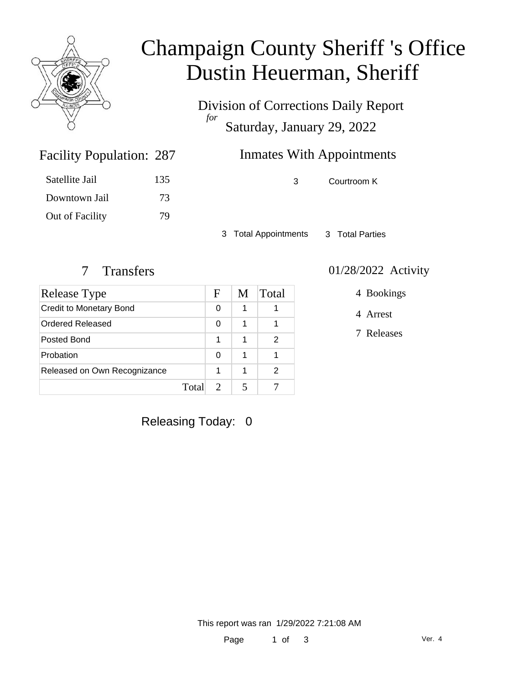

# Champaign County Sheriff 's Office Dustin Heuerman, Sheriff

Division of Corrections Daily Report *for* Saturday, January 29, 2022

## Inmates With Appointments

3 Courtroom K

3 Total Appointments 3 Total Parties

Facility Population: 287

Satellite Jail 135

Downtown Jail 73

Out of Facility 79

| Release Type                   |      | F | M | Total |
|--------------------------------|------|---|---|-------|
| <b>Credit to Monetary Bond</b> |      | 0 | 1 |       |
| Ordered Released               |      | 0 | 1 |       |
| Posted Bond                    |      | 1 | 1 | 2     |
| Probation                      |      | 0 | 1 |       |
| Released on Own Recognizance   |      | 1 | 1 | 2     |
|                                | Tota |   |   |       |

#### 7 Transfers 01/28/2022 Activity

4 Bookings

4 Arrest

7 Releases

Releasing Today: 0

This report was ran 1/29/2022 7:21:08 AM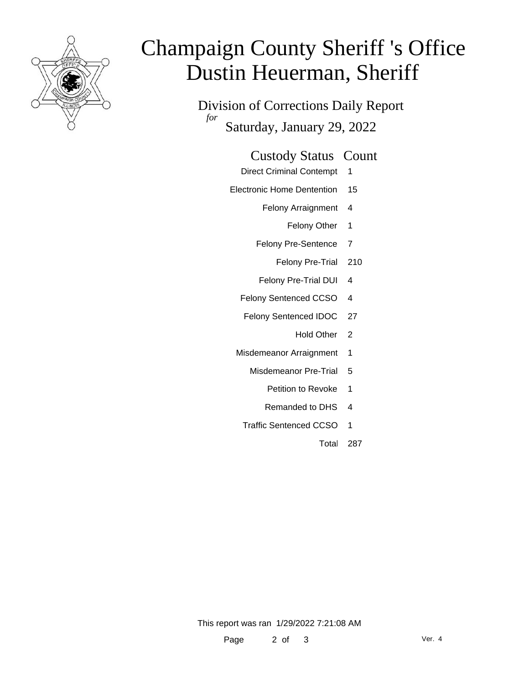

# Champaign County Sheriff 's Office Dustin Heuerman, Sheriff

Division of Corrections Daily Report *for* Saturday, January 29, 2022

#### Custody Status Count

- Direct Criminal Contempt 1
- Electronic Home Dentention 15
	- Felony Arraignment 4
		- Felony Other 1
	- Felony Pre-Sentence 7
		- Felony Pre-Trial 210
	- Felony Pre-Trial DUI 4
	- Felony Sentenced CCSO 4
	- Felony Sentenced IDOC 27
		- Hold Other 2
	- Misdemeanor Arraignment 1
		- Misdemeanor Pre-Trial 5
			- Petition to Revoke 1
			- Remanded to DHS 4
		- Traffic Sentenced CCSO 1
			- Total 287

This report was ran 1/29/2022 7:21:08 AM